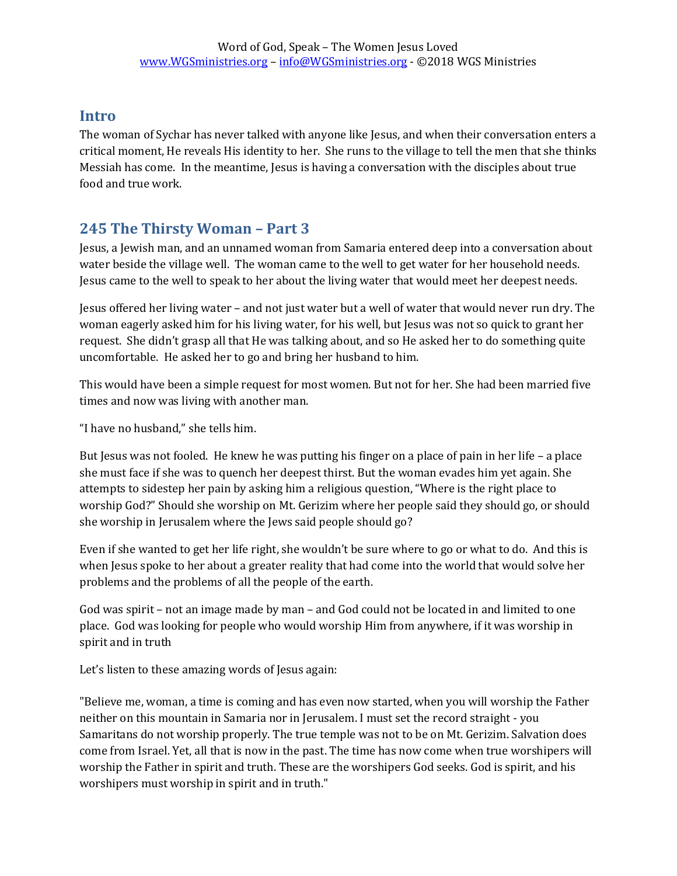# **Intro**

The woman of Sychar has never talked with anyone like Jesus, and when their conversation enters a critical moment, He reveals His identity to her. She runs to the village to tell the men that she thinks Messiah has come. In the meantime, Jesus is having a conversation with the disciples about true food and true work.

# **245 The Thirsty Woman – Part 3**

Jesus, a Jewish man, and an unnamed woman from Samaria entered deep into a conversation about water beside the village well. The woman came to the well to get water for her household needs. Jesus came to the well to speak to her about the living water that would meet her deepest needs.

Jesus offered her living water – and not just water but a well of water that would never run dry. The woman eagerly asked him for his living water, for his well, but Jesus was not so quick to grant her request. She didn't grasp all that He was talking about, and so He asked her to do something quite uncomfortable. He asked her to go and bring her husband to him.

This would have been a simple request for most women. But not for her. She had been married five times and now was living with another man.

"I have no husband," she tells him.

But Jesus was not fooled. He knew he was putting his finger on a place of pain in her life – a place she must face if she was to quench her deepest thirst. But the woman evades him yet again. She attempts to sidestep her pain by asking him a religious question, "Where is the right place to worship God?" Should she worship on Mt. Gerizim where her people said they should go, or should she worship in Jerusalem where the Jews said people should go?

Even if she wanted to get her life right, she wouldn't be sure where to go or what to do. And this is when Jesus spoke to her about a greater reality that had come into the world that would solve her problems and the problems of all the people of the earth.

God was spirit – not an image made by man – and God could not be located in and limited to one place. God was looking for people who would worship Him from anywhere, if it was worship in spirit and in truth

Let's listen to these amazing words of Jesus again:

"Believe me, woman, a time is coming and has even now started, when you will worship the Father neither on this mountain in Samaria nor in Jerusalem. I must set the record straight - you Samaritans do not worship properly. The true temple was not to be on Mt. Gerizim. Salvation does come from Israel. Yet, all that is now in the past. The time has now come when true worshipers will worship the Father in spirit and truth. These are the worshipers God seeks. God is spirit, and his worshipers must worship in spirit and in truth."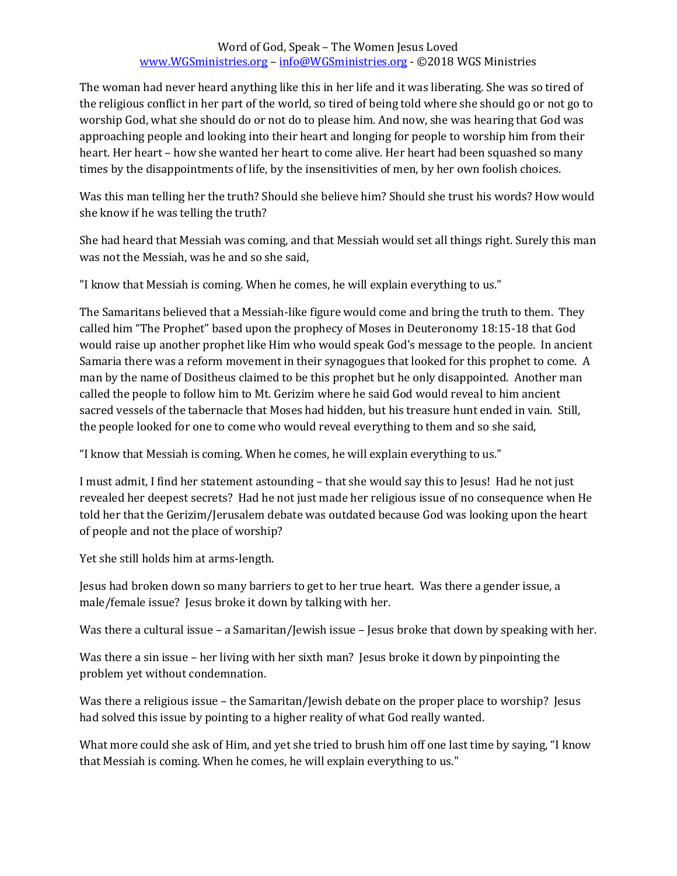## Word of God, Speak – The Women Jesus Loved [www.WGSministries.org](http://www.wgsministries.org/) – [info@WGSministries.org](mailto:info@WGSministries.org) - ©2018 WGS Ministries

The woman had never heard anything like this in her life and it was liberating. She was so tired of the religious conflict in her part of the world, so tired of being told where she should go or not go to worship God, what she should do or not do to please him. And now, she was hearing that God was approaching people and looking into their heart and longing for people to worship him from their heart. Her heart – how she wanted her heart to come alive. Her heart had been squashed so many times by the disappointments of life, by the insensitivities of men, by her own foolish choices.

Was this man telling her the truth? Should she believe him? Should she trust his words? How would she know if he was telling the truth?

She had heard that Messiah was coming, and that Messiah would set all things right. Surely this man was not the Messiah, was he and so she said,

"I know that Messiah is coming. When he comes, he will explain everything to us."

The Samaritans believed that a Messiah-like figure would come and bring the truth to them. They called him "The Prophet" based upon the prophecy of Moses in Deuteronomy 18:15-18 that God would raise up another prophet like Him who would speak God's message to the people. In ancient Samaria there was a reform movement in their synagogues that looked for this prophet to come. A man by the name of Dositheus claimed to be this prophet but he only disappointed. Another man called the people to follow him to Mt. Gerizim where he said God would reveal to him ancient sacred vessels of the tabernacle that Moses had hidden, but his treasure hunt ended in vain. Still, the people looked for one to come who would reveal everything to them and so she said,

"I know that Messiah is coming. When he comes, he will explain everything to us."

I must admit, I find her statement astounding – that she would say this to Jesus! Had he not just revealed her deepest secrets? Had he not just made her religious issue of no consequence when He told her that the Gerizim/Jerusalem debate was outdated because God was looking upon the heart of people and not the place of worship?

Yet she still holds him at arms-length.

Jesus had broken down so many barriers to get to her true heart. Was there a gender issue, a male/female issue? Jesus broke it down by talking with her.

Was there a cultural issue – a Samaritan/Jewish issue – Jesus broke that down by speaking with her.

Was there a sin issue – her living with her sixth man? Jesus broke it down by pinpointing the problem yet without condemnation.

Was there a religious issue – the Samaritan/Jewish debate on the proper place to worship? Jesus had solved this issue by pointing to a higher reality of what God really wanted.

What more could she ask of Him, and yet she tried to brush him off one last time by saying, "I know that Messiah is coming. When he comes, he will explain everything to us."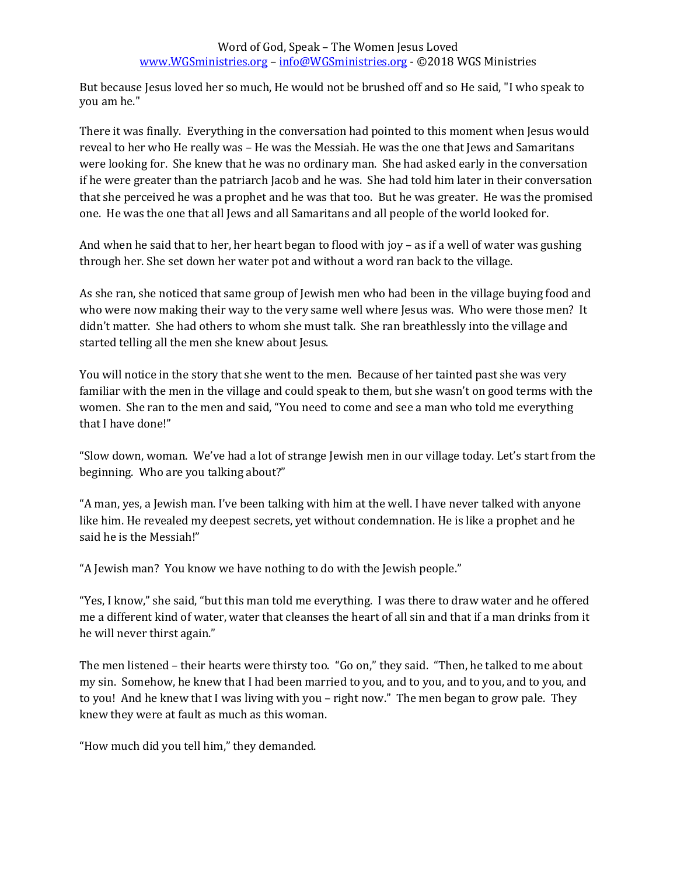## Word of God, Speak – The Women Jesus Loved [www.WGSministries.org](http://www.wgsministries.org/) – [info@WGSministries.org](mailto:info@WGSministries.org) - ©2018 WGS Ministries

But because Jesus loved her so much, He would not be brushed off and so He said, "I who speak to you am he."

There it was finally. Everything in the conversation had pointed to this moment when Jesus would reveal to her who He really was – He was the Messiah. He was the one that Jews and Samaritans were looking for. She knew that he was no ordinary man. She had asked early in the conversation if he were greater than the patriarch Jacob and he was. She had told him later in their conversation that she perceived he was a prophet and he was that too. But he was greater. He was the promised one. He was the one that all Jews and all Samaritans and all people of the world looked for.

And when he said that to her, her heart began to flood with joy – as if a well of water was gushing through her. She set down her water pot and without a word ran back to the village.

As she ran, she noticed that same group of Jewish men who had been in the village buying food and who were now making their way to the very same well where Jesus was. Who were those men? It didn't matter. She had others to whom she must talk. She ran breathlessly into the village and started telling all the men she knew about Jesus.

You will notice in the story that she went to the men. Because of her tainted past she was very familiar with the men in the village and could speak to them, but she wasn't on good terms with the women. She ran to the men and said, "You need to come and see a man who told me everything that I have done!"

"Slow down, woman. We've had a lot of strange Jewish men in our village today. Let's start from the beginning. Who are you talking about?"

"A man, yes, a Jewish man. I've been talking with him at the well. I have never talked with anyone like him. He revealed my deepest secrets, yet without condemnation. He is like a prophet and he said he is the Messiah!"

"A Jewish man? You know we have nothing to do with the Jewish people."

"Yes, I know," she said, "but this man told me everything. I was there to draw water and he offered me a different kind of water, water that cleanses the heart of all sin and that if a man drinks from it he will never thirst again."

The men listened – their hearts were thirsty too. "Go on," they said. "Then, he talked to me about my sin. Somehow, he knew that I had been married to you, and to you, and to you, and to you, and to you! And he knew that I was living with you – right now." The men began to grow pale. They knew they were at fault as much as this woman.

"How much did you tell him," they demanded.